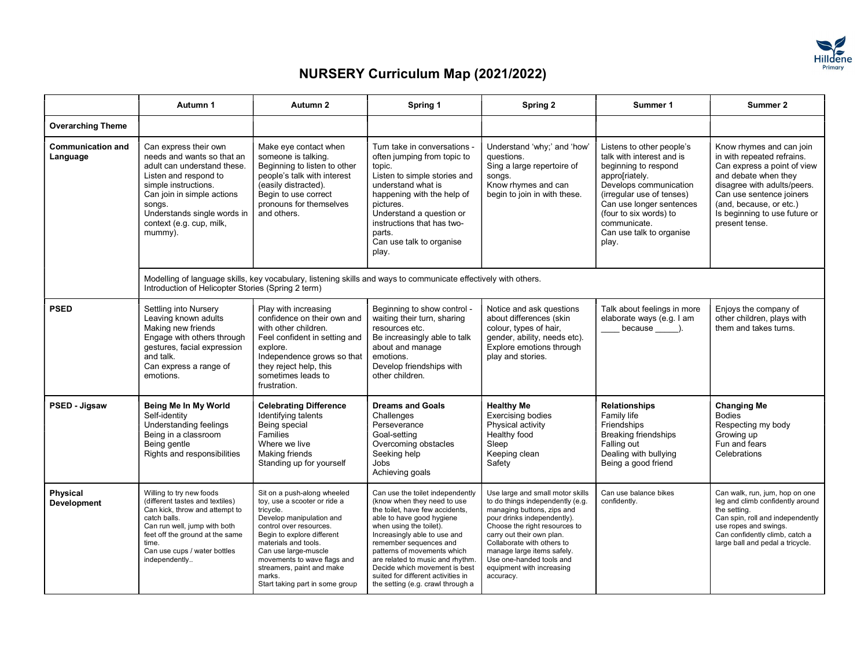

|                                      | Autumn 1                                                                                                                                                                                                                                          | Autumn 2                                                                                                                                                                                                                                                                                                               | Spring 1                                                                                                                                                                                                                                                                                                                                                                                           | Spring 2                                                                                                                                                                                                                                                                                                                          | Summer 1                                                                                                                                                                                                                                                           | Summer 2                                                                                                                                                                                                                                               |
|--------------------------------------|---------------------------------------------------------------------------------------------------------------------------------------------------------------------------------------------------------------------------------------------------|------------------------------------------------------------------------------------------------------------------------------------------------------------------------------------------------------------------------------------------------------------------------------------------------------------------------|----------------------------------------------------------------------------------------------------------------------------------------------------------------------------------------------------------------------------------------------------------------------------------------------------------------------------------------------------------------------------------------------------|-----------------------------------------------------------------------------------------------------------------------------------------------------------------------------------------------------------------------------------------------------------------------------------------------------------------------------------|--------------------------------------------------------------------------------------------------------------------------------------------------------------------------------------------------------------------------------------------------------------------|--------------------------------------------------------------------------------------------------------------------------------------------------------------------------------------------------------------------------------------------------------|
| <b>Overarching Theme</b>             |                                                                                                                                                                                                                                                   |                                                                                                                                                                                                                                                                                                                        |                                                                                                                                                                                                                                                                                                                                                                                                    |                                                                                                                                                                                                                                                                                                                                   |                                                                                                                                                                                                                                                                    |                                                                                                                                                                                                                                                        |
| <b>Communication and</b><br>Language | Can express their own<br>needs and wants so that an<br>adult can understand these.<br>Listen and respond to<br>simple instructions.<br>Can join in simple actions<br>songs.<br>Understands single words in<br>context (e.g. cup, milk,<br>mummy). | Make eye contact when<br>someone is talking.<br>Beginning to listen to other<br>people's talk with interest<br>(easily distracted).<br>Begin to use correct<br>pronouns for themselves<br>and others.                                                                                                                  | Turn take in conversations<br>often jumping from topic to<br>topic.<br>Listen to simple stories and<br>understand what is<br>happening with the help of<br>pictures.<br>Understand a question or<br>instructions that has two-<br>parts.<br>Can use talk to organise<br>play.                                                                                                                      | Understand 'why;' and 'how'<br>questions.<br>Sing a large repertoire of<br>songs.<br>Know rhymes and can<br>begin to join in with these.                                                                                                                                                                                          | Listens to other people's<br>talk with interest and is<br>beginning to respond<br>appro[riately.<br>Develops communication<br>(irregular use of tenses)<br>Can use longer sentences<br>(four to six words) to<br>communicate.<br>Can use talk to organise<br>play. | Know rhymes and can join<br>in with repeated refrains.<br>Can express a point of view<br>and debate when they<br>disagree with adults/peers.<br>Can use sentence joiners<br>(and, because, or etc.)<br>Is beginning to use future or<br>present tense. |
|                                      | Introduction of Helicopter Stories (Spring 2 term)                                                                                                                                                                                                | Modelling of language skills, key vocabulary, listening skills and ways to communicate effectively with others.                                                                                                                                                                                                        |                                                                                                                                                                                                                                                                                                                                                                                                    |                                                                                                                                                                                                                                                                                                                                   |                                                                                                                                                                                                                                                                    |                                                                                                                                                                                                                                                        |
| <b>PSED</b>                          | Settling into Nursery<br>Leaving known adults<br>Making new friends<br>Engage with others through<br>gestures, facial expression<br>and talk.<br>Can express a range of<br>emotions.                                                              | Play with increasing<br>confidence on their own and<br>with other children.<br>Feel confident in setting and<br>explore.<br>Independence grows so that<br>they reject help, this<br>sometimes leads to<br>frustration.                                                                                                 | Beginning to show control<br>waiting their turn, sharing<br>resources etc.<br>Be increasingly able to talk<br>about and manage<br>emotions.<br>Develop friendships with<br>other children.                                                                                                                                                                                                         | Notice and ask questions<br>about differences (skin<br>colour, types of hair,<br>gender, ability, needs etc).<br>Explore emotions through<br>play and stories.                                                                                                                                                                    | Talk about feelings in more<br>elaborate ways (e.g. I am<br>because ).                                                                                                                                                                                             | Enjoys the company of<br>other children, plays with<br>them and takes turns.                                                                                                                                                                           |
| PSED - Jigsaw                        | Being Me In My World<br>Self-identity<br>Understanding feelings<br>Being in a classroom<br>Being gentle<br>Rights and responsibilities                                                                                                            | <b>Celebrating Difference</b><br>Identifying talents<br>Being special<br>Families<br>Where we live<br>Making friends<br>Standing up for yourself                                                                                                                                                                       | <b>Dreams and Goals</b><br>Challenges<br>Perseverance<br>Goal-setting<br>Overcoming obstacles<br>Seeking help<br>Jobs<br>Achieving goals                                                                                                                                                                                                                                                           | <b>Healthy Me</b><br><b>Exercising bodies</b><br>Physical activity<br>Healthy food<br>Sleep<br>Keeping clean<br>Safety                                                                                                                                                                                                            | <b>Relationships</b><br>Family life<br>Friendships<br><b>Breaking friendships</b><br>Falling out<br>Dealing with bullying<br>Being a good friend                                                                                                                   | <b>Changing Me</b><br><b>Bodies</b><br>Respecting my body<br>Growing up<br>Fun and fears<br>Celebrations                                                                                                                                               |
| Physical<br><b>Development</b>       | Willing to try new foods<br>(different tastes and textiles)<br>Can kick, throw and attempt to<br>catch balls.<br>Can run well, jump with both<br>feet off the ground at the same<br>time.<br>Can use cups / water bottles<br>independently        | Sit on a push-along wheeled<br>toy, use a scooter or ride a<br>tricvcle.<br>Develop manipulation and<br>control over resources.<br>Begin to explore different<br>materials and tools.<br>Can use large-muscle<br>movements to wave flags and<br>streamers, paint and make<br>marks.<br>Start taking part in some group | Can use the toilet independently<br>(know when they need to use<br>the toilet, have few accidents.<br>able to have good hygiene<br>when using the toilet).<br>Increasingly able to use and<br>remember sequences and<br>patterns of movements which<br>are related to music and rhythm<br>Decide which movement is best<br>suited for different activities in<br>the setting (e.g. crawl through a | Use large and small motor skills<br>to do things independently (e.g.<br>managing buttons, zips and<br>pour drinks independently).<br>Choose the right resources to<br>carry out their own plan.<br>Collaborate with others to<br>manage large items safely.<br>Use one-handed tools and<br>equipment with increasing<br>accuracy. | Can use balance bikes<br>confidently.                                                                                                                                                                                                                              | Can walk, run, jum, hop on one<br>leg and climb confidently around<br>the setting.<br>Can spin, roll and independently<br>use ropes and swings.<br>Can confidently climb, catch a<br>large ball and pedal a tricycle.                                  |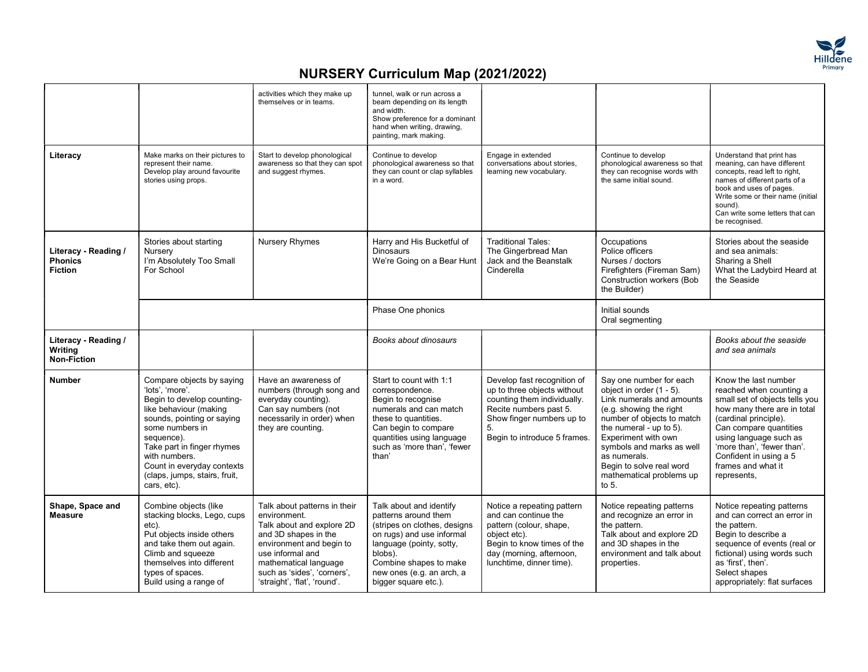

|                                                          |                                                                                                                                                                                                                                                                                                  | activities which they make up<br>themselves or in teams.                                                                                                                                                                                  | tunnel, walk or run across a<br>beam depending on its length<br>and width.<br>Show preference for a dominant<br>hand when writing, drawing,<br>painting, mark making.                                                              |                                                                                                                                                                                        |                                                                                                                                                                                                                                                                                                             |                                                                                                                                                                                                                                                                                            |
|----------------------------------------------------------|--------------------------------------------------------------------------------------------------------------------------------------------------------------------------------------------------------------------------------------------------------------------------------------------------|-------------------------------------------------------------------------------------------------------------------------------------------------------------------------------------------------------------------------------------------|------------------------------------------------------------------------------------------------------------------------------------------------------------------------------------------------------------------------------------|----------------------------------------------------------------------------------------------------------------------------------------------------------------------------------------|-------------------------------------------------------------------------------------------------------------------------------------------------------------------------------------------------------------------------------------------------------------------------------------------------------------|--------------------------------------------------------------------------------------------------------------------------------------------------------------------------------------------------------------------------------------------------------------------------------------------|
| Literacy                                                 | Make marks on their pictures to<br>represent their name.<br>Develop play around favourite<br>stories using props.                                                                                                                                                                                | Start to develop phonological<br>awareness so that they can spot<br>and suggest rhymes.                                                                                                                                                   | Continue to develop<br>phonological awareness so that<br>they can count or clap syllables<br>in a word.                                                                                                                            | Engage in extended<br>conversations about stories,<br>learning new vocabulary.                                                                                                         | Continue to develop<br>phonological awareness so that<br>they can recognise words with<br>the same initial sound.                                                                                                                                                                                           | Understand that print has<br>meaning, can have different<br>concepts, read left to right,<br>names of different parts of a<br>book and uses of pages.<br>Write some or their name (initial<br>sound).<br>Can write some letters that can<br>be recognised.                                 |
| Literacy - Reading /<br><b>Phonics</b><br><b>Fiction</b> | Stories about starting<br>Nurserv<br>I'm Absolutely Too Small<br>For School                                                                                                                                                                                                                      | <b>Nursery Rhymes</b>                                                                                                                                                                                                                     | Harry and His Bucketful of<br><b>Dinosaurs</b><br>We're Going on a Bear Hunt                                                                                                                                                       | <b>Traditional Tales:</b><br>The Gingerbread Man<br>Jack and the Beanstalk<br>Cinderella                                                                                               | Occupations<br>Police officers<br>Nurses / doctors<br>Firefighters (Fireman Sam)<br>Construction workers (Bob<br>the Builder)                                                                                                                                                                               | Stories about the seaside<br>and sea animals:<br>Sharing a Shell<br>What the Ladybird Heard at<br>the Seaside                                                                                                                                                                              |
|                                                          |                                                                                                                                                                                                                                                                                                  |                                                                                                                                                                                                                                           | Phase One phonics                                                                                                                                                                                                                  |                                                                                                                                                                                        | Initial sounds<br>Oral segmenting                                                                                                                                                                                                                                                                           |                                                                                                                                                                                                                                                                                            |
| Literacy - Reading /<br>Writing<br><b>Non-Fiction</b>    |                                                                                                                                                                                                                                                                                                  |                                                                                                                                                                                                                                           | Books about dinosaurs                                                                                                                                                                                                              |                                                                                                                                                                                        |                                                                                                                                                                                                                                                                                                             | Books about the seaside<br>and sea animals                                                                                                                                                                                                                                                 |
| <b>Number</b>                                            | Compare objects by saying<br>'lots'. 'more'.<br>Begin to develop counting-<br>like behaviour (making<br>sounds, pointing or saying<br>some numbers in<br>sequence).<br>Take part in finger rhymes<br>with numbers.<br>Count in everyday contexts<br>(claps, jumps, stairs, fruit,<br>cars, etc). | Have an awareness of<br>numbers (through song and<br>everyday counting).<br>Can say numbers (not<br>necessarily in order) when<br>they are counting.                                                                                      | Start to count with 1:1<br>correspondence.<br>Begin to recognise<br>numerals and can match<br>these to quantities.<br>Can begin to compare<br>quantities using language<br>such as 'more than', 'fewer<br>than'                    | Develop fast recognition of<br>up to three objects without<br>counting them individually.<br>Recite numbers past 5.<br>Show finger numbers up to<br>5.<br>Begin to introduce 5 frames. | Say one number for each<br>object in order (1 - 5).<br>Link numerals and amounts<br>(e.g. showing the right<br>number of objects to match<br>the numeral - up to 5).<br>Experiment with own<br>symbols and marks as well<br>as numerals.<br>Begin to solve real word<br>mathematical problems up<br>to $5.$ | Know the last number<br>reached when counting a<br>small set of objects tells you<br>how many there are in total<br>(cardinal principle).<br>Can compare quantities<br>using language such as<br>'more than', 'fewer than'.<br>Confident in using a 5<br>frames and what it<br>represents, |
| Shape, Space and<br><b>Measure</b>                       | Combine objects (like<br>stacking blocks, Lego, cups<br>etc).<br>Put objects inside others<br>and take them out again.<br>Climb and squeeze<br>themselves into different<br>types of spaces.<br>Build using a range of                                                                           | Talk about patterns in their<br>environment.<br>Talk about and explore 2D<br>and 3D shapes in the<br>environment and begin to<br>use informal and<br>mathematical language<br>such as 'sides', 'corners',<br>'straight', 'flat', 'round'. | Talk about and identify<br>patterns around them<br>(stripes on clothes, designs<br>on rugs) and use informal<br>language (pointy, sotty,<br>blobs).<br>Combine shapes to make<br>new ones (e.g. an arch, a<br>bigger square etc.). | Notice a repeating pattern<br>and can continue the<br>pattern (colour, shape,<br>object etc).<br>Begin to know times of the<br>day (morning, afternoon,<br>lunchtime, dinner time).    | Notice repeating patterns<br>and recognize an error in<br>the pattern.<br>Talk about and explore 2D<br>and 3D shapes in the<br>environment and talk about<br>properties.                                                                                                                                    | Notice repeating patterns<br>and can correct an error in<br>the pattern.<br>Begin to describe a<br>sequence of events (real or<br>fictional) using words such<br>as 'first', then'.<br>Select shapes<br>appropriately: flat surfaces                                                       |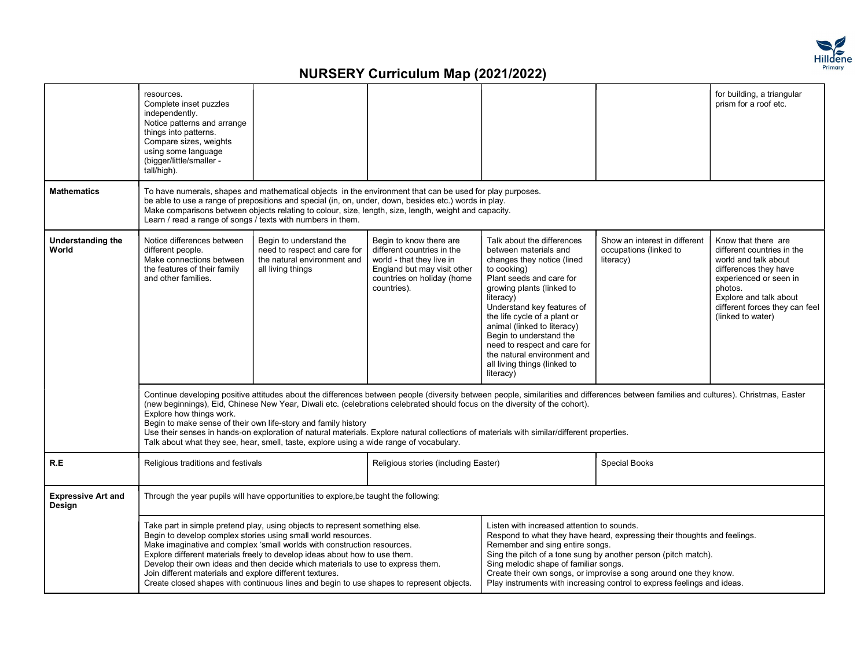

|                                     | resources.<br>Complete inset puzzles<br>independently.<br>Notice patterns and arrange<br>things into patterns.<br>Compare sizes, weights<br>using some language<br>(bigger/little/smaller -<br>tall/high).                                                                                                                                                                                                                                                                                                                                                                                                                                                  |                                                                                                                                                                                                                                                                                                                                                                                                                                                                                       |                                                                                                                                                                |                                                                                                                                                                                                                                                                                                                                                                                                            |                                                                                                                                                                                                                                                                                            | for building, a triangular<br>prism for a roof etc.                                                                                                                                                                      |  |  |
|-------------------------------------|-------------------------------------------------------------------------------------------------------------------------------------------------------------------------------------------------------------------------------------------------------------------------------------------------------------------------------------------------------------------------------------------------------------------------------------------------------------------------------------------------------------------------------------------------------------------------------------------------------------------------------------------------------------|---------------------------------------------------------------------------------------------------------------------------------------------------------------------------------------------------------------------------------------------------------------------------------------------------------------------------------------------------------------------------------------------------------------------------------------------------------------------------------------|----------------------------------------------------------------------------------------------------------------------------------------------------------------|------------------------------------------------------------------------------------------------------------------------------------------------------------------------------------------------------------------------------------------------------------------------------------------------------------------------------------------------------------------------------------------------------------|--------------------------------------------------------------------------------------------------------------------------------------------------------------------------------------------------------------------------------------------------------------------------------------------|--------------------------------------------------------------------------------------------------------------------------------------------------------------------------------------------------------------------------|--|--|
| <b>Mathematics</b>                  | To have numerals, shapes and mathematical objects in the environment that can be used for play purposes.<br>be able to use a range of prepositions and special (in, on, under, down, besides etc.) words in play.<br>Make comparisons between objects relating to colour, size, length, size, length, weight and capacity.<br>Learn / read a range of songs / texts with numbers in them.                                                                                                                                                                                                                                                                   |                                                                                                                                                                                                                                                                                                                                                                                                                                                                                       |                                                                                                                                                                |                                                                                                                                                                                                                                                                                                                                                                                                            |                                                                                                                                                                                                                                                                                            |                                                                                                                                                                                                                          |  |  |
| <b>Understanding the</b><br>World   | Notice differences between<br>different people.<br>Make connections between<br>the features of their family<br>and other families.                                                                                                                                                                                                                                                                                                                                                                                                                                                                                                                          | Begin to understand the<br>need to respect and care for<br>the natural environment and<br>all living things                                                                                                                                                                                                                                                                                                                                                                           | Begin to know there are<br>different countries in the<br>world - that they live in<br>England but may visit other<br>countries on holiday (home<br>countries). | Talk about the differences<br>between materials and<br>changes they notice (lined<br>to cooking)<br>Plant seeds and care for<br>growing plants (linked to<br>literacy)<br>Understand key features of<br>the life cycle of a plant or<br>animal (linked to literacy)<br>Begin to understand the<br>need to respect and care for<br>the natural environment and<br>all living things (linked to<br>literacy) | Show an interest in different<br>occupations (linked to<br>literacy)                                                                                                                                                                                                                       | Know that there are<br>different countries in the<br>world and talk about<br>differences they have<br>experienced or seen in<br>photos.<br>Explore and talk about<br>different forces they can feel<br>(linked to water) |  |  |
|                                     | Continue developing positive attitudes about the differences between people (diversity between people, similarities and differences between families and cultures). Christmas, Easter<br>(new beginnings), Eid, Chinese New Year, Diwali etc. (celebrations celebrated should focus on the diversity of the cohort).<br>Explore how things work.<br>Begin to make sense of their own life-story and family history<br>Use their senses in hands-on exploration of natural materials. Explore natural collections of materials with similar/different properties.<br>Talk about what they see, hear, smell, taste, explore using a wide range of vocabulary. |                                                                                                                                                                                                                                                                                                                                                                                                                                                                                       |                                                                                                                                                                |                                                                                                                                                                                                                                                                                                                                                                                                            |                                                                                                                                                                                                                                                                                            |                                                                                                                                                                                                                          |  |  |
| R.E                                 | Religious traditions and festivals                                                                                                                                                                                                                                                                                                                                                                                                                                                                                                                                                                                                                          |                                                                                                                                                                                                                                                                                                                                                                                                                                                                                       | Religious stories (including Easter)                                                                                                                           |                                                                                                                                                                                                                                                                                                                                                                                                            | <b>Special Books</b>                                                                                                                                                                                                                                                                       |                                                                                                                                                                                                                          |  |  |
| <b>Expressive Art and</b><br>Design | Through the year pupils will have opportunities to explore, be taught the following:                                                                                                                                                                                                                                                                                                                                                                                                                                                                                                                                                                        |                                                                                                                                                                                                                                                                                                                                                                                                                                                                                       |                                                                                                                                                                |                                                                                                                                                                                                                                                                                                                                                                                                            |                                                                                                                                                                                                                                                                                            |                                                                                                                                                                                                                          |  |  |
|                                     | Join different materials and explore different textures.                                                                                                                                                                                                                                                                                                                                                                                                                                                                                                                                                                                                    | Take part in simple pretend play, using objects to represent something else.<br>Begin to develop complex stories using small world resources.<br>Make imaginative and complex 'small worlds with construction resources.<br>Explore different materials freely to develop ideas about how to use them.<br>Develop their own ideas and then decide which materials to use to express them.<br>Create closed shapes with continuous lines and begin to use shapes to represent objects. |                                                                                                                                                                | Listen with increased attention to sounds.<br>Remember and sing entire songs.<br>Sing melodic shape of familiar songs.                                                                                                                                                                                                                                                                                     | Respond to what they have heard, expressing their thoughts and feelings.<br>Sing the pitch of a tone sung by another person (pitch match).<br>Create their own songs, or improvise a song around one they know.<br>Play instruments with increasing control to express feelings and ideas. |                                                                                                                                                                                                                          |  |  |